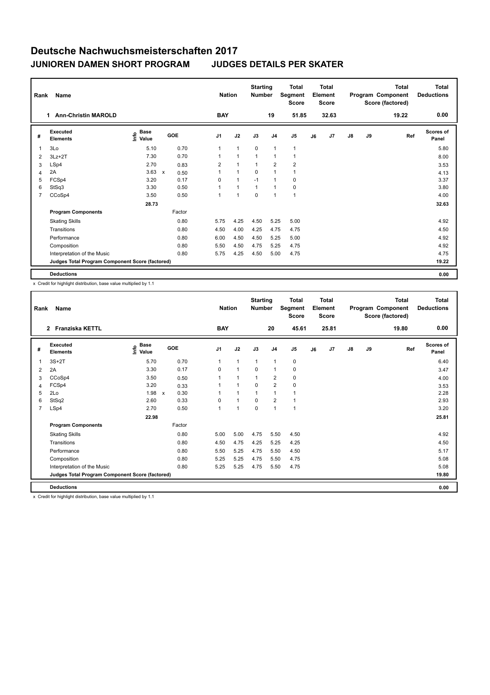| Rank           | Name                                            | <b>Nation</b>                               |                      | <b>Starting</b><br><b>Number</b> |              | <b>Total</b><br>Segment<br><b>Score</b> |                | <b>Total</b><br>Element<br><b>Score</b> |    |       | <b>Total</b><br>Program Component<br>Score (factored) | Total<br><b>Deductions</b> |       |                    |
|----------------|-------------------------------------------------|---------------------------------------------|----------------------|----------------------------------|--------------|-----------------------------------------|----------------|-----------------------------------------|----|-------|-------------------------------------------------------|----------------------------|-------|--------------------|
|                | 1 Ann-Christin MAROLD                           |                                             |                      | <b>BAY</b>                       |              |                                         | 19             | 51.85                                   |    | 32.63 |                                                       |                            | 19.22 | 0.00               |
| #              | Executed<br><b>Elements</b>                     | <b>Base</b><br>e <sup>Base</sup><br>⊆ Value | GOE                  | J <sub>1</sub>                   | J2           | J3                                      | J <sub>4</sub> | J <sub>5</sub>                          | J6 | J7    | $\mathsf{J}8$                                         | J9                         | Ref   | Scores of<br>Panel |
| 1              | 3Lo                                             | 5.10                                        | 0.70                 | $\mathbf{1}$                     | $\mathbf{1}$ | $\mathbf 0$                             | $\mathbf{1}$   | $\mathbf{1}$                            |    |       |                                                       |                            |       | 5.80               |
| 2              | $3Lz + 2T$                                      | 7.30                                        | 0.70                 | $\mathbf{1}$                     | $\mathbf{1}$ | $\mathbf{1}$                            | $\overline{1}$ | $\overline{1}$                          |    |       |                                                       |                            |       | 8.00               |
| 3              | LSp4                                            | 2.70                                        | 0.83                 | $\overline{2}$                   | $\mathbf{1}$ | $\mathbf{1}$                            | $\overline{2}$ | $\overline{2}$                          |    |       |                                                       |                            |       | 3.53               |
| 4              | 2A                                              | 3.63                                        | $\mathsf{x}$<br>0.50 | $\mathbf{1}$                     | $\mathbf{1}$ | $\mathbf 0$                             | $\mathbf{1}$   | $\mathbf{1}$                            |    |       |                                                       |                            |       | 4.13               |
| 5              | FCSp4                                           | 3.20                                        | 0.17                 | 0                                | $\mathbf{1}$ | $-1$                                    | $\overline{1}$ | 0                                       |    |       |                                                       |                            |       | 3.37               |
| 6              | StSq3                                           | 3.30                                        | 0.50                 | $\mathbf{1}$                     | $\mathbf{1}$ | $\mathbf{1}$                            | $\overline{1}$ | 0                                       |    |       |                                                       |                            |       | 3.80               |
| $\overline{7}$ | CCoSp4                                          | 3.50                                        | 0.50                 | $\mathbf{1}$                     | $\mathbf{1}$ | $\mathbf 0$                             | $\overline{1}$ | $\overline{1}$                          |    |       |                                                       |                            |       | 4.00               |
|                |                                                 | 28.73                                       |                      |                                  |              |                                         |                |                                         |    |       |                                                       |                            |       | 32.63              |
|                | <b>Program Components</b>                       |                                             | Factor               |                                  |              |                                         |                |                                         |    |       |                                                       |                            |       |                    |
|                | <b>Skating Skills</b>                           |                                             | 0.80                 | 5.75                             | 4.25         | 4.50                                    | 5.25           | 5.00                                    |    |       |                                                       |                            |       | 4.92               |
|                | Transitions                                     |                                             | 0.80                 | 4.50                             | 4.00         | 4.25                                    | 4.75           | 4.75                                    |    |       |                                                       |                            |       | 4.50               |
|                | Performance                                     |                                             | 0.80                 | 6.00                             | 4.50         | 4.50                                    | 5.25           | 5.00                                    |    |       |                                                       |                            |       | 4.92               |
|                | Composition                                     |                                             | 0.80                 | 5.50                             | 4.50         | 4.75                                    | 5.25           | 4.75                                    |    |       |                                                       |                            |       | 4.92               |
|                | Interpretation of the Music                     |                                             | 0.80                 | 5.75                             | 4.25         | 4.50                                    | 5.00           | 4.75                                    |    |       |                                                       |                            |       | 4.75               |
|                | Judges Total Program Component Score (factored) |                                             |                      |                                  |              |                                         |                |                                         |    |       |                                                       |                            |       | 19.22              |
|                | <b>Deductions</b>                               |                                             |                      |                                  |              |                                         |                |                                         |    |       |                                                       |                            |       | 0.00               |

x Credit for highlight distribution, base value multiplied by 1.1

| Rank           | Name                                            |                              | <b>Nation</b>        | <b>Starting</b><br><b>Number</b> |                | <b>Total</b><br>Segment<br><b>Score</b> |                | <b>Total</b><br>Element<br><b>Score</b> |    |       | <b>Total</b><br>Program Component<br>Score (factored) | Total<br><b>Deductions</b> |       |                           |
|----------------|-------------------------------------------------|------------------------------|----------------------|----------------------------------|----------------|-----------------------------------------|----------------|-----------------------------------------|----|-------|-------------------------------------------------------|----------------------------|-------|---------------------------|
|                | 2 Franziska KETTL                               |                              |                      | <b>BAY</b>                       |                |                                         | 20             | 45.61                                   |    | 25.81 |                                                       |                            | 19.80 | 0.00                      |
| #              | Executed<br><b>Elements</b>                     | <b>Base</b><br>١πfo<br>Value | GOE                  | J <sub>1</sub>                   | J2             | J3                                      | J <sub>4</sub> | J <sub>5</sub>                          | J6 | J7    | $\mathsf{J}8$                                         | J9                         | Ref   | <b>Scores of</b><br>Panel |
| 1              | $3S+2T$                                         | 5.70                         | 0.70                 | $\mathbf{1}$                     | $\overline{1}$ | $\overline{1}$                          | $\overline{1}$ | $\pmb{0}$                               |    |       |                                                       |                            |       | 6.40                      |
| 2              | 2A                                              | 3.30                         | 0.17                 | 0                                | $\overline{1}$ | 0                                       | $\overline{1}$ | 0                                       |    |       |                                                       |                            |       | 3.47                      |
| 3              | CCoSp4                                          | 3.50                         | 0.50                 | 1                                | $\mathbf{1}$   | $\mathbf{1}$                            | $\overline{2}$ | 0                                       |    |       |                                                       |                            |       | 4.00                      |
| 4              | FCSp4                                           | 3.20                         | 0.33                 |                                  | $\overline{1}$ | $\Omega$                                | $\overline{2}$ | $\mathbf 0$                             |    |       |                                                       |                            |       | 3.53                      |
| 5              | 2Lo                                             | 1.98                         | 0.30<br>$\mathsf{x}$ |                                  | 1              | 1                                       | $\overline{1}$ | 1                                       |    |       |                                                       |                            |       | 2.28                      |
| 6              | StSq2                                           | 2.60                         | 0.33                 | $\Omega$                         | $\overline{1}$ | $\Omega$                                | 2              | $\overline{1}$                          |    |       |                                                       |                            |       | 2.93                      |
| $\overline{7}$ | LSp4                                            | 2.70                         | 0.50                 | 1                                | $\overline{1}$ | $\mathbf 0$                             | $\overline{1}$ | $\mathbf{1}$                            |    |       |                                                       |                            |       | 3.20                      |
|                |                                                 | 22.98                        |                      |                                  |                |                                         |                |                                         |    |       |                                                       |                            |       | 25.81                     |
|                | <b>Program Components</b>                       |                              | Factor               |                                  |                |                                         |                |                                         |    |       |                                                       |                            |       |                           |
|                | <b>Skating Skills</b>                           |                              | 0.80                 | 5.00                             | 5.00           | 4.75                                    | 5.50           | 4.50                                    |    |       |                                                       |                            |       | 4.92                      |
|                | Transitions                                     |                              | 0.80                 | 4.50                             | 4.75           | 4.25                                    | 5.25           | 4.25                                    |    |       |                                                       |                            |       | 4.50                      |
|                | Performance                                     |                              | 0.80                 | 5.50                             | 5.25           | 4.75                                    | 5.50           | 4.50                                    |    |       |                                                       |                            |       | 5.17                      |
|                | Composition                                     |                              | 0.80                 | 5.25                             | 5.25           | 4.75                                    | 5.50           | 4.75                                    |    |       |                                                       |                            |       | 5.08                      |
|                | Interpretation of the Music                     |                              | 0.80                 | 5.25                             | 5.25           | 4.75                                    | 5.50           | 4.75                                    |    |       |                                                       |                            |       | 5.08                      |
|                | Judges Total Program Component Score (factored) |                              |                      |                                  |                |                                         |                |                                         |    |       |                                                       |                            |       | 19.80                     |
|                | <b>Deductions</b>                               |                              |                      |                                  |                |                                         |                |                                         |    |       |                                                       |                            |       | 0.00                      |

x Credit for highlight distribution, base value multiplied by 1.1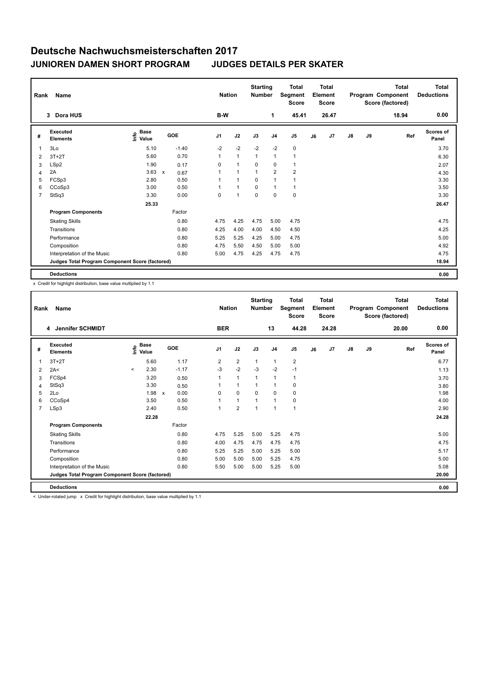|   | Rank<br><b>Name</b><br>Dora HUS<br>3            |                                             |                           |         |              | <b>Nation</b> | <b>Starting</b><br><b>Number</b> |                | <b>Total</b><br>Segment<br><b>Score</b> |    | <b>Total</b><br>Element<br><b>Score</b> |               |    | <b>Total</b><br>Program Component<br>Score (factored) | <b>Total</b><br><b>Deductions</b> |
|---|-------------------------------------------------|---------------------------------------------|---------------------------|---------|--------------|---------------|----------------------------------|----------------|-----------------------------------------|----|-----------------------------------------|---------------|----|-------------------------------------------------------|-----------------------------------|
|   |                                                 |                                             |                           |         | B-W          |               |                                  | 1              | 45.41                                   |    | 26.47                                   |               |    | 18.94                                                 | 0.00                              |
| # | Executed<br><b>Elements</b>                     | <b>Base</b><br>e <sup>Base</sup><br>⊆ Value | GOE                       |         | J1           | J2            | J3                               | J <sub>4</sub> | J <sub>5</sub>                          | J6 | J7                                      | $\mathsf{J}8$ | J9 | Ref                                                   | <b>Scores of</b><br>Panel         |
| 1 | 3Lo                                             | 5.10                                        |                           | $-1.40$ | $-2$         | $-2$          | $-2$                             | $-2$           | $\pmb{0}$                               |    |                                         |               |    |                                                       | 3.70                              |
| 2 | $3T+2T$                                         | 5.60                                        |                           | 0.70    | $\mathbf{1}$ | $\mathbf{1}$  | $\mathbf{1}$                     | 1              | $\overline{1}$                          |    |                                         |               |    |                                                       | 6.30                              |
| 3 | LSp2                                            | 1.90                                        |                           | 0.17    | 0            | $\mathbf{1}$  | 0                                | 0              | $\mathbf{1}$                            |    |                                         |               |    |                                                       | 2.07                              |
| 4 | 2A                                              | 3.63                                        | $\boldsymbol{\mathsf{x}}$ | 0.67    | 1            | $\mathbf{1}$  | $\mathbf{1}$                     | $\overline{2}$ | $\overline{2}$                          |    |                                         |               |    |                                                       | 4.30                              |
| 5 | FCSp3                                           | 2.80                                        |                           | 0.50    | 1            | $\mathbf{1}$  | 0                                | 1              | 1                                       |    |                                         |               |    |                                                       | 3.30                              |
| 6 | CCoSp3                                          | 3.00                                        |                           | 0.50    | 1            | $\mathbf{1}$  | 0                                | 1              | $\overline{1}$                          |    |                                         |               |    |                                                       | 3.50                              |
| 7 | StSq3                                           | 3.30                                        |                           | 0.00    | 0            | $\mathbf{1}$  | 0                                | $\mathbf 0$    | $\mathbf 0$                             |    |                                         |               |    |                                                       | 3.30                              |
|   |                                                 | 25.33                                       |                           |         |              |               |                                  |                |                                         |    |                                         |               |    |                                                       | 26.47                             |
|   | <b>Program Components</b>                       |                                             |                           | Factor  |              |               |                                  |                |                                         |    |                                         |               |    |                                                       |                                   |
|   | <b>Skating Skills</b>                           |                                             |                           | 0.80    | 4.75         | 4.25          | 4.75                             | 5.00           | 4.75                                    |    |                                         |               |    |                                                       | 4.75                              |
|   | Transitions                                     |                                             |                           | 0.80    | 4.25         | 4.00          | 4.00                             | 4.50           | 4.50                                    |    |                                         |               |    |                                                       | 4.25                              |
|   | Performance                                     |                                             |                           | 0.80    | 5.25         | 5.25          | 4.25                             | 5.00           | 4.75                                    |    |                                         |               |    |                                                       | 5.00                              |
|   | Composition                                     |                                             |                           | 0.80    | 4.75         | 5.50          | 4.50                             | 5.00           | 5.00                                    |    |                                         |               |    |                                                       | 4.92                              |
|   | Interpretation of the Music                     |                                             |                           | 0.80    | 5.00         | 4.75          | 4.25                             | 4.75           | 4.75                                    |    |                                         |               |    |                                                       | 4.75                              |
|   | Judges Total Program Component Score (factored) |                                             |                           |         |              |               |                                  |                |                                         |    |                                         |               |    |                                                       | 18.94                             |
|   | <b>Deductions</b>                               |                                             |                           |         |              |               |                                  |                |                                         |    |                                         |               |    |                                                       | 0.00                              |

x Credit for highlight distribution, base value multiplied by 1.1

| Rank           | Name                                            |         | <b>Nation</b>                    |                           | <b>Starting</b><br><b>Number</b> |                | <b>Total</b><br>Segment<br><b>Score</b> |                | Total<br>Element<br><b>Score</b> |                |    | <b>Total</b><br>Program Component<br>Score (factored) | <b>Total</b><br><b>Deductions</b> |    |       |                           |
|----------------|-------------------------------------------------|---------|----------------------------------|---------------------------|----------------------------------|----------------|-----------------------------------------|----------------|----------------------------------|----------------|----|-------------------------------------------------------|-----------------------------------|----|-------|---------------------------|
|                | Jennifer SCHMIDT<br>4                           |         |                                  |                           |                                  | <b>BER</b>     |                                         |                | 13                               | 44.28          |    | 24.28                                                 |                                   |    | 20.00 | 0.00                      |
| #              | Executed<br><b>Elements</b>                     |         | <b>Base</b><br>e Base<br>E Value | GOE                       |                                  | J <sub>1</sub> | J2                                      | J3             | J <sub>4</sub>                   | J <sub>5</sub> | J6 | J7                                                    | $\mathsf{J}8$                     | J9 | Ref   | <b>Scores of</b><br>Panel |
| 1              | $3T+2T$                                         |         | 5.60                             |                           | 1.17                             | $\overline{2}$ | $\overline{2}$                          | $\mathbf{1}$   | $\mathbf{1}$                     | $\overline{2}$ |    |                                                       |                                   |    |       | 6.77                      |
| 2              | 2A<                                             | $\prec$ | 2.30                             |                           | $-1.17$                          | $-3$           | $-2$                                    | $-3$           | $-2$                             | $-1$           |    |                                                       |                                   |    |       | 1.13                      |
| 3              | FCSp4                                           |         | 3.20                             |                           | 0.50                             | 1              | $\mathbf{1}$                            | 1              | $\overline{1}$                   | $\mathbf{1}$   |    |                                                       |                                   |    |       | 3.70                      |
| 4              | StSq3                                           |         | 3.30                             |                           | 0.50                             |                | $\mathbf{1}$                            | $\overline{1}$ | -1                               | 0              |    |                                                       |                                   |    |       | 3.80                      |
| 5              | 2Lo                                             |         | 1.98                             | $\boldsymbol{\mathsf{x}}$ | 0.00                             | 0              | $\mathbf 0$                             | 0              | $\mathbf 0$                      | 0              |    |                                                       |                                   |    |       | 1.98                      |
| 6              | CCoSp4                                          |         | 3.50                             |                           | 0.50                             |                | $\overline{1}$                          |                | $\overline{1}$                   | 0              |    |                                                       |                                   |    |       | 4.00                      |
| $\overline{7}$ | LSp3                                            |         | 2.40                             |                           | 0.50                             | 1              | $\overline{2}$                          | 1              | $\overline{1}$                   | $\mathbf{1}$   |    |                                                       |                                   |    |       | 2.90                      |
|                |                                                 |         | 22.28                            |                           |                                  |                |                                         |                |                                  |                |    |                                                       |                                   |    |       | 24.28                     |
|                | <b>Program Components</b>                       |         |                                  |                           | Factor                           |                |                                         |                |                                  |                |    |                                                       |                                   |    |       |                           |
|                | <b>Skating Skills</b>                           |         |                                  |                           | 0.80                             | 4.75           | 5.25                                    | 5.00           | 5.25                             | 4.75           |    |                                                       |                                   |    |       | 5.00                      |
|                | Transitions                                     |         |                                  |                           | 0.80                             | 4.00           | 4.75                                    | 4.75           | 4.75                             | 4.75           |    |                                                       |                                   |    |       | 4.75                      |
|                | Performance                                     |         |                                  |                           | 0.80                             | 5.25           | 5.25                                    | 5.00           | 5.25                             | 5.00           |    |                                                       |                                   |    |       | 5.17                      |
|                | Composition                                     |         |                                  |                           | 0.80                             | 5.00           | 5.00                                    | 5.00           | 5.25                             | 4.75           |    |                                                       |                                   |    |       | 5.00                      |
|                | Interpretation of the Music                     |         |                                  |                           | 0.80                             | 5.50           | 5.00                                    | 5.00           | 5.25                             | 5.00           |    |                                                       |                                   |    |       | 5.08                      |
|                | Judges Total Program Component Score (factored) |         |                                  |                           |                                  |                |                                         |                |                                  |                |    |                                                       |                                   |    |       | 20.00                     |
|                | <b>Deductions</b>                               |         |                                  |                           |                                  |                |                                         |                |                                  |                |    |                                                       |                                   |    |       | 0.00                      |

< Under-rotated jump x Credit for highlight distribution, base value multiplied by 1.1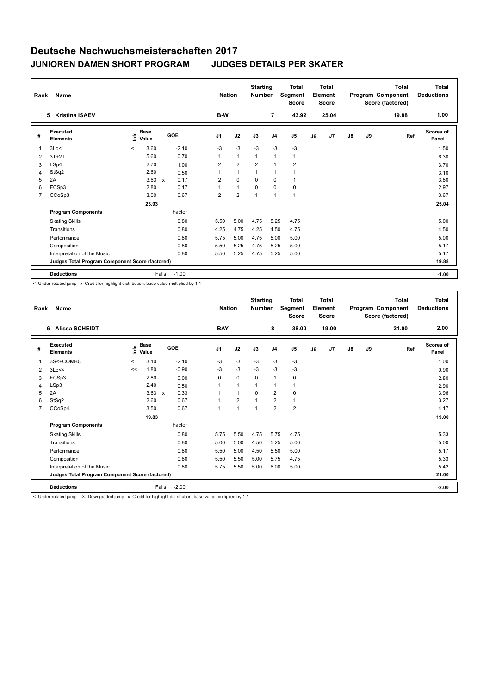| Rank           | Name<br><b>Kristina ISAEV</b>                   | B-W                          | <b>Nation</b> | <b>Starting</b><br><b>Number</b> | $\overline{7}$ | <b>Total</b><br>Segment<br><b>Score</b><br>43.92 |                | <b>Total</b><br>Element<br><b>Score</b><br>25.04 |                |    | <b>Total</b><br>Program Component<br>Score (factored)<br>19.88 | Total<br><b>Deductions</b><br>1.00 |    |     |                           |
|----------------|-------------------------------------------------|------------------------------|---------------|----------------------------------|----------------|--------------------------------------------------|----------------|--------------------------------------------------|----------------|----|----------------------------------------------------------------|------------------------------------|----|-----|---------------------------|
|                | 5                                               |                              |               |                                  |                |                                                  |                |                                                  |                |    |                                                                |                                    |    |     |                           |
| #              | Executed<br><b>Elements</b>                     | <b>Base</b><br>lnfo<br>Value |               | GOE                              | J <sub>1</sub> | J2                                               | J3             | J <sub>4</sub>                                   | J <sub>5</sub> | J6 | J7                                                             | $\mathsf{J}8$                      | J9 | Ref | <b>Scores of</b><br>Panel |
| $\overline{1}$ | 3Lo<                                            | 3.60<br>$\prec$              |               | $-2.10$                          | $-3$           | $-3$                                             | $-3$           | $-3$                                             | $-3$           |    |                                                                |                                    |    |     | 1.50                      |
| 2              | $3T+2T$                                         | 5.60                         |               | 0.70                             | 1              | $\mathbf{1}$                                     | $\overline{1}$ | $\overline{1}$                                   | $\mathbf{1}$   |    |                                                                |                                    |    |     | 6.30                      |
| 3              | LSp4                                            | 2.70                         |               | 1.00                             | 2              | $\overline{2}$                                   | $\overline{2}$ | $\overline{1}$                                   | $\overline{2}$ |    |                                                                |                                    |    |     | 3.70                      |
| 4              | StSq2                                           | 2.60                         |               | 0.50                             |                | $\mathbf{1}$                                     | $\overline{1}$ | $\overline{1}$                                   | 1              |    |                                                                |                                    |    |     | 3.10                      |
| 5              | 2A                                              | 3.63                         | $\mathsf{x}$  | 0.17                             | $\overline{2}$ | $\mathbf 0$                                      | $\Omega$       | $\Omega$                                         | $\mathbf{1}$   |    |                                                                |                                    |    |     | 3.80                      |
| 6              | FCSp3                                           | 2.80                         |               | 0.17                             | 1              | $\mathbf{1}$                                     | $\mathbf 0$    | $\Omega$                                         | 0              |    |                                                                |                                    |    |     | 2.97                      |
| $\overline{7}$ | CCoSp3                                          | 3.00                         |               | 0.67                             | $\overline{2}$ | $\overline{2}$                                   | 1              | $\overline{1}$                                   | $\mathbf{1}$   |    |                                                                |                                    |    |     | 3.67                      |
|                |                                                 | 23.93                        |               |                                  |                |                                                  |                |                                                  |                |    |                                                                |                                    |    |     | 25.04                     |
|                | <b>Program Components</b>                       |                              |               | Factor                           |                |                                                  |                |                                                  |                |    |                                                                |                                    |    |     |                           |
|                | <b>Skating Skills</b>                           |                              |               | 0.80                             | 5.50           | 5.00                                             | 4.75           | 5.25                                             | 4.75           |    |                                                                |                                    |    |     | 5.00                      |
|                | Transitions                                     |                              |               | 0.80                             | 4.25           | 4.75                                             | 4.25           | 4.50                                             | 4.75           |    |                                                                |                                    |    |     | 4.50                      |
|                | Performance                                     |                              |               | 0.80                             | 5.75           | 5.00                                             | 4.75           | 5.00                                             | 5.00           |    |                                                                |                                    |    |     | 5.00                      |
|                | Composition                                     |                              |               | 0.80                             | 5.50           | 5.25                                             | 4.75           | 5.25                                             | 5.00           |    |                                                                |                                    |    |     | 5.17                      |
|                | Interpretation of the Music                     |                              |               | 0.80                             | 5.50           | 5.25                                             | 4.75           | 5.25                                             | 5.00           |    |                                                                |                                    |    |     | 5.17                      |
|                | Judges Total Program Component Score (factored) |                              |               |                                  |                |                                                  |                |                                                  |                |    |                                                                |                                    |    |     | 19.88                     |
|                | <b>Deductions</b>                               |                              | Falls:        | $-1.00$                          |                |                                                  |                |                                                  |                |    |                                                                |                                    |    |     | $-1.00$                   |

< Under-rotated jump x Credit for highlight distribution, base value multiplied by 1.1

| Rank           | <b>Name</b><br><b>Alissa SCHEIDT</b><br>6       |          |                             |                      |                | <b>Nation</b>  | <b>Starting</b><br><b>Number</b> |                | <b>Total</b><br>Segment<br><b>Score</b> |    | Total<br>Element<br><b>Score</b> |               |    | <b>Total</b><br>Program Component<br>Score (factored) | Total<br><b>Deductions</b> |
|----------------|-------------------------------------------------|----------|-----------------------------|----------------------|----------------|----------------|----------------------------------|----------------|-----------------------------------------|----|----------------------------------|---------------|----|-------------------------------------------------------|----------------------------|
|                |                                                 |          |                             |                      | <b>BAY</b>     |                |                                  | 8              | 38.00                                   |    | 19.00                            |               |    | 21.00                                                 | 2.00                       |
| #              | <b>Executed</b><br><b>Elements</b>              |          | $\sum_{k=1}^{\infty}$ Value | GOE                  | J <sub>1</sub> | J2             | J3                               | J <sub>4</sub> | J <sub>5</sub>                          | J6 | J7                               | $\mathsf{J}8$ | J9 | Ref                                                   | <b>Scores of</b><br>Panel  |
|                | 3S<+COMBO                                       | $\hat{}$ | 3.10                        | $-2.10$              | -3             | $-3$           | -3                               | -3             | $-3$                                    |    |                                  |               |    |                                                       | 1.00                       |
| 2              | 3Lo<<                                           | <<       | 1.80                        | $-0.90$              | $-3$           | $-3$           | $-3$                             | $-3$           | $-3$                                    |    |                                  |               |    |                                                       | 0.90                       |
| 3              | FCSp3                                           |          | 2.80                        | 0.00                 | 0              | $\pmb{0}$      | 0                                | $\mathbf{1}$   | 0                                       |    |                                  |               |    |                                                       | 2.80                       |
| 4              | LSp3                                            |          | 2.40                        | 0.50                 |                | $\mathbf{1}$   |                                  | $\mathbf 1$    | $\mathbf{1}$                            |    |                                  |               |    |                                                       | 2.90                       |
| 5              | 2A                                              |          | 3.63                        | 0.33<br>$\mathsf{x}$ |                | $\mathbf{1}$   | $\Omega$                         | $\overline{2}$ | $\mathbf 0$                             |    |                                  |               |    |                                                       | 3.96                       |
| 6              | StSq2                                           |          | 2.60                        | 0.67                 |                | $\overline{2}$ |                                  | $\overline{2}$ | $\mathbf{1}$                            |    |                                  |               |    |                                                       | 3.27                       |
| $\overline{7}$ | CCoSp4                                          |          | 3.50                        | 0.67                 |                | $\overline{1}$ | $\overline{1}$                   | $\overline{2}$ | $\overline{2}$                          |    |                                  |               |    |                                                       | 4.17                       |
|                |                                                 |          | 19.83                       |                      |                |                |                                  |                |                                         |    |                                  |               |    |                                                       | 19.00                      |
|                | <b>Program Components</b>                       |          |                             | Factor               |                |                |                                  |                |                                         |    |                                  |               |    |                                                       |                            |
|                | <b>Skating Skills</b>                           |          |                             | 0.80                 | 5.75           | 5.50           | 4.75                             | 5.75           | 4.75                                    |    |                                  |               |    |                                                       | 5.33                       |
|                | Transitions                                     |          |                             | 0.80                 | 5.00           | 5.00           | 4.50                             | 5.25           | 5.00                                    |    |                                  |               |    |                                                       | 5.00                       |
|                | Performance                                     |          |                             | 0.80                 | 5.50           | 5.00           | 4.50                             | 5.50           | 5.00                                    |    |                                  |               |    |                                                       | 5.17                       |
|                | Composition                                     |          |                             | 0.80                 | 5.50           | 5.50           | 5.00                             | 5.75           | 4.75                                    |    |                                  |               |    |                                                       | 5.33                       |
|                | Interpretation of the Music                     |          |                             | 0.80                 | 5.75           | 5.50           | 5.00                             | 6.00           | 5.00                                    |    |                                  |               |    |                                                       | 5.42                       |
|                | Judges Total Program Component Score (factored) |          |                             |                      |                |                |                                  |                |                                         |    |                                  |               |    |                                                       | 21.00                      |
|                | <b>Deductions</b>                               |          |                             | $-2.00$<br>Falls:    |                |                |                                  |                |                                         |    |                                  |               |    |                                                       | $-2.00$                    |

< Under-rotated jump << Downgraded jump x Credit for highlight distribution, base value multiplied by 1.1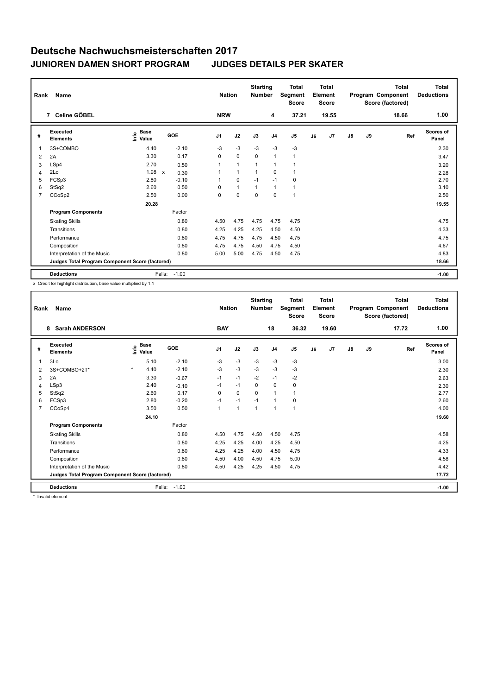| Rank           | Name<br>7 Celine GÖBEL                          |                                             |                      |                | <b>Nation</b> | <b>Starting</b><br><b>Number</b> |                | <b>Total</b><br>Segment<br><b>Score</b> |    | Total<br>Element<br><b>Score</b> |               |    | <b>Total</b><br>Program Component<br>Score (factored) | Total<br><b>Deductions</b> |
|----------------|-------------------------------------------------|---------------------------------------------|----------------------|----------------|---------------|----------------------------------|----------------|-----------------------------------------|----|----------------------------------|---------------|----|-------------------------------------------------------|----------------------------|
|                |                                                 |                                             |                      | <b>NRW</b>     |               |                                  | 4              | 37.21                                   |    | 19.55                            |               |    | 18.66                                                 | 1.00                       |
| #              | Executed<br><b>Elements</b>                     | <b>Base</b><br>e <sup>Base</sup><br>⊆ Value | GOE                  | J <sub>1</sub> | J2            | J3                               | J <sub>4</sub> | J <sub>5</sub>                          | J6 | J7                               | $\mathsf{J}8$ | J9 | Ref                                                   | <b>Scores of</b><br>Panel  |
| 1              | 3S+COMBO                                        | 4.40                                        | $-2.10$              | $-3$           | $-3$          | $-3$                             | $-3$           | $-3$                                    |    |                                  |               |    |                                                       | 2.30                       |
| 2              | 2A                                              | 3.30                                        | 0.17                 | $\Omega$       | $\mathbf 0$   | $\Omega$                         | $\mathbf{1}$   | 1                                       |    |                                  |               |    |                                                       | 3.47                       |
| 3              | LSp4                                            | 2.70                                        | 0.50                 | $\mathbf{1}$   | 1             | 1                                | 1              | 1                                       |    |                                  |               |    |                                                       | 3.20                       |
| 4              | 2Lo                                             | 1.98                                        | $\mathsf{x}$<br>0.30 | 1              | $\mathbf{1}$  | 1                                | 0              | $\mathbf{1}$                            |    |                                  |               |    |                                                       | 2.28                       |
| 5              | FCSp3                                           | 2.80                                        | $-0.10$              | $\mathbf{1}$   | 0             | $-1$                             | $-1$           | 0                                       |    |                                  |               |    |                                                       | 2.70                       |
| 6              | StSq2                                           | 2.60                                        | 0.50                 | 0              | $\mathbf{1}$  | $\mathbf{1}$                     | $\overline{1}$ | $\mathbf{1}$                            |    |                                  |               |    |                                                       | 3.10                       |
| $\overline{7}$ | CCoSp2                                          | 2.50                                        | 0.00                 | 0              | 0             | $\mathbf 0$                      | 0              | $\overline{1}$                          |    |                                  |               |    |                                                       | 2.50                       |
|                |                                                 | 20.28                                       |                      |                |               |                                  |                |                                         |    |                                  |               |    |                                                       | 19.55                      |
|                | <b>Program Components</b>                       |                                             | Factor               |                |               |                                  |                |                                         |    |                                  |               |    |                                                       |                            |
|                | <b>Skating Skills</b>                           |                                             | 0.80                 | 4.50           | 4.75          | 4.75                             | 4.75           | 4.75                                    |    |                                  |               |    |                                                       | 4.75                       |
|                | Transitions                                     |                                             | 0.80                 | 4.25           | 4.25          | 4.25                             | 4.50           | 4.50                                    |    |                                  |               |    |                                                       | 4.33                       |
|                | Performance                                     |                                             | 0.80                 | 4.75           | 4.75          | 4.75                             | 4.50           | 4.75                                    |    |                                  |               |    |                                                       | 4.75                       |
|                | Composition                                     |                                             | 0.80                 | 4.75           | 4.75          | 4.50                             | 4.75           | 4.50                                    |    |                                  |               |    |                                                       | 4.67                       |
|                | Interpretation of the Music                     |                                             | 0.80                 | 5.00           | 5.00          | 4.75                             | 4.50           | 4.75                                    |    |                                  |               |    |                                                       | 4.83                       |
|                | Judges Total Program Component Score (factored) |                                             |                      |                |               |                                  |                |                                         |    |                                  |               |    |                                                       | 18.66                      |
|                | <b>Deductions</b>                               |                                             | $-1.00$<br>Falls:    |                |               |                                  |                |                                         |    |                                  |               |    |                                                       | $-1.00$                    |

x Credit for highlight distribution, base value multiplied by 1.1

| Rank           | <b>Name</b>                                     |         | <b>Nation</b>        | <b>Starting</b><br><b>Number</b> |                | <b>Total</b><br>Segment<br><b>Score</b> |                | Total<br>Element<br><b>Score</b> |                |    | Total<br>Program Component<br>Score (factored) | Total<br><b>Deductions</b> |    |       |                    |
|----------------|-------------------------------------------------|---------|----------------------|----------------------------------|----------------|-----------------------------------------|----------------|----------------------------------|----------------|----|------------------------------------------------|----------------------------|----|-------|--------------------|
|                | <b>Sarah ANDERSON</b><br>8                      |         |                      |                                  | <b>BAY</b>     |                                         |                | 18                               | 36.32          |    | 19.60                                          |                            |    | 17.72 | 1.00               |
| #              | Executed<br><b>Elements</b>                     | Info    | <b>Base</b><br>Value | GOE                              | J <sub>1</sub> | J2                                      | J3             | J <sub>4</sub>                   | J <sub>5</sub> | J6 | J <sub>7</sub>                                 | $\mathsf{J}8$              | J9 | Ref   | Scores of<br>Panel |
| 1              | 3Lo                                             |         | 5.10                 | $-2.10$                          | $-3$           | $-3$                                    | $-3$           | $-3$                             | $-3$           |    |                                                |                            |    |       | 3.00               |
| 2              | 3S+COMBO+2T*                                    | $\star$ | 4.40                 | $-2.10$                          | $-3$           | $-3$                                    | $-3$           | $-3$                             | $-3$           |    |                                                |                            |    |       | 2.30               |
| 3              | 2A                                              |         | 3.30                 | $-0.67$                          | $-1$           | $-1$                                    | $-2$           | $-1$                             | $-2$           |    |                                                |                            |    |       | 2.63               |
| 4              | LSp3                                            |         | 2.40                 | $-0.10$                          | $-1$           | $-1$                                    | 0              | $\mathbf 0$                      | $\mathbf 0$    |    |                                                |                            |    |       | 2.30               |
| 5              | StSq2                                           |         | 2.60                 | 0.17                             | $\Omega$       | $\Omega$                                | $\Omega$       | $\overline{1}$                   | $\mathbf{1}$   |    |                                                |                            |    |       | 2.77               |
| 6              | FCSp3                                           |         | 2.80                 | $-0.20$                          | $-1$           | $-1$                                    | $-1$           | -1                               | 0              |    |                                                |                            |    |       | 2.60               |
| $\overline{7}$ | CCoSp4                                          |         | 3.50                 | 0.50                             | $\mathbf{1}$   | $\overline{1}$                          | $\overline{1}$ | $\overline{1}$                   | $\mathbf{1}$   |    |                                                |                            |    |       | 4.00               |
|                |                                                 |         | 24.10                |                                  |                |                                         |                |                                  |                |    |                                                |                            |    |       | 19.60              |
|                | <b>Program Components</b>                       |         |                      | Factor                           |                |                                         |                |                                  |                |    |                                                |                            |    |       |                    |
|                | <b>Skating Skills</b>                           |         |                      | 0.80                             | 4.50           | 4.75                                    | 4.50           | 4.50                             | 4.75           |    |                                                |                            |    |       | 4.58               |
|                | Transitions                                     |         |                      | 0.80                             | 4.25           | 4.25                                    | 4.00           | 4.25                             | 4.50           |    |                                                |                            |    |       | 4.25               |
|                | Performance                                     |         |                      | 0.80                             | 4.25           | 4.25                                    | 4.00           | 4.50                             | 4.75           |    |                                                |                            |    |       | 4.33               |
|                | Composition                                     |         |                      | 0.80                             | 4.50           | 4.00                                    | 4.50           | 4.75                             | 5.00           |    |                                                |                            |    |       | 4.58               |
|                | Interpretation of the Music                     |         |                      | 0.80                             | 4.50           | 4.25                                    | 4.25           | 4.50                             | 4.75           |    |                                                |                            |    |       | 4.42               |
|                | Judges Total Program Component Score (factored) |         |                      |                                  |                |                                         |                |                                  |                |    |                                                |                            |    |       | 17.72              |
|                | <b>Deductions</b>                               |         | Falls:               | $-1.00$                          |                |                                         |                |                                  |                |    |                                                |                            |    |       | $-1.00$            |

**Invalid element**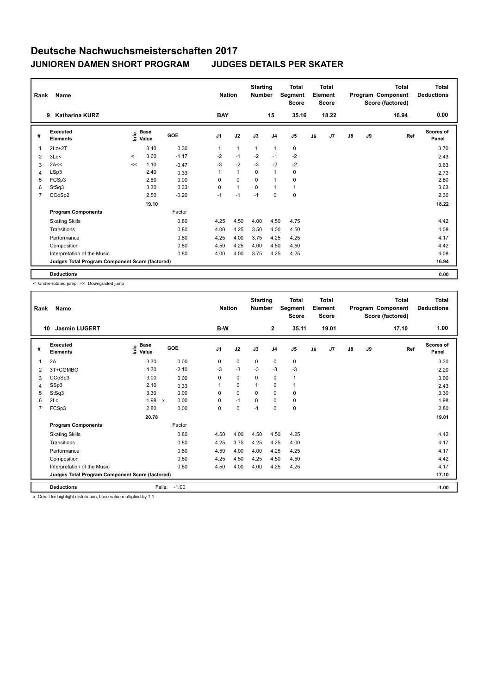| Rank           | Name                                            |          | <b>Nation</b>                               |         | <b>Starting</b><br><b>Number</b> |              | <b>Total</b><br>Segment<br><b>Score</b> |                | <b>Total</b><br>Element<br>Score |    |       | <b>Total</b><br>Program Component<br>Score (factored) | <b>Total</b><br><b>Deductions</b> |       |                           |
|----------------|-------------------------------------------------|----------|---------------------------------------------|---------|----------------------------------|--------------|-----------------------------------------|----------------|----------------------------------|----|-------|-------------------------------------------------------|-----------------------------------|-------|---------------------------|
|                | Katharina KURZ<br>9                             |          |                                             |         | <b>BAY</b>                       |              |                                         | 15             | 35.16                            |    | 18.22 |                                                       |                                   | 16.94 | 0.00                      |
| #              | Executed<br><b>Elements</b>                     |          | <b>Base</b><br>e <sup>Base</sup><br>⊆ Value | GOE     | J1                               | J2           | J3                                      | J <sub>4</sub> | J <sub>5</sub>                   | J6 | J7    | $\mathsf{J}8$                                         | J9                                | Ref   | <b>Scores of</b><br>Panel |
| 1              | $2Lz+2T$                                        |          | 3.40                                        | 0.30    | $\mathbf{1}$                     | $\mathbf{1}$ | 1                                       | 1              | 0                                |    |       |                                                       |                                   |       | 3.70                      |
| 2              | 3Lo<                                            | $\hat{}$ | 3.60                                        | $-1.17$ | $-2$                             | $-1$         | $-2$                                    | $-1$           | $-2$                             |    |       |                                                       |                                   |       | 2.43                      |
| 3              | 2A<<                                            | <<       | 1.10                                        | $-0.47$ | $-3$                             | $-2$         | $-3$                                    | $-2$           | $-2$                             |    |       |                                                       |                                   |       | 0.63                      |
| 4              | LSp3                                            |          | 2.40                                        | 0.33    | 1                                | $\mathbf{1}$ | 0                                       | 1              | 0                                |    |       |                                                       |                                   |       | 2.73                      |
| 5              | FCSp3                                           |          | 2.80                                        | 0.00    | 0                                | $\mathbf 0$  | 0                                       | 1              | 0                                |    |       |                                                       |                                   |       | 2.80                      |
| 6              | StSq3                                           |          | 3.30                                        | 0.33    | $\Omega$                         | $\mathbf{1}$ | $\Omega$                                | 1              | $\mathbf{1}$                     |    |       |                                                       |                                   |       | 3.63                      |
| $\overline{7}$ | CCoSp2                                          |          | 2.50                                        | $-0.20$ | $-1$                             | $-1$         | $-1$                                    | 0              | $\pmb{0}$                        |    |       |                                                       |                                   |       | 2.30                      |
|                |                                                 |          | 19.10                                       |         |                                  |              |                                         |                |                                  |    |       |                                                       |                                   |       | 18.22                     |
|                | <b>Program Components</b>                       |          |                                             | Factor  |                                  |              |                                         |                |                                  |    |       |                                                       |                                   |       |                           |
|                | <b>Skating Skills</b>                           |          |                                             | 0.80    | 4.25                             | 4.50         | 4.00                                    | 4.50           | 4.75                             |    |       |                                                       |                                   |       | 4.42                      |
|                | Transitions                                     |          |                                             | 0.80    | 4.00                             | 4.25         | 3.50                                    | 4.00           | 4.50                             |    |       |                                                       |                                   |       | 4.08                      |
|                | Performance                                     |          |                                             | 0.80    | 4.25                             | 4.00         | 3.75                                    | 4.25           | 4.25                             |    |       |                                                       |                                   |       | 4.17                      |
|                | Composition                                     |          |                                             | 0.80    | 4.50                             | 4.25         | 4.00                                    | 4.50           | 4.50                             |    |       |                                                       |                                   |       | 4.42                      |
|                | Interpretation of the Music                     |          |                                             | 0.80    | 4.00                             | 4.00         | 3.75                                    | 4.25           | 4.25                             |    |       |                                                       |                                   |       | 4.08                      |
|                | Judges Total Program Component Score (factored) |          |                                             |         |                                  |              |                                         |                |                                  |    |       |                                                       |                                   |       | 16.94                     |
|                | <b>Deductions</b>                               |          |                                             |         |                                  |              |                                         |                |                                  |    |       |                                                       |                                   |       | 0.00                      |

< Under-rotated jump << Downgraded jump

| Rank | Name                                            | <b>Nation</b>                     |                                   | <b>Starting</b><br><b>Number</b> |             | <b>Total</b><br>Segment<br><b>Score</b> |                | <b>Total</b><br>Element<br><b>Score</b> |    |                | <b>Total</b><br>Program Component<br>Score (factored) | <b>Total</b><br><b>Deductions</b> |       |                    |
|------|-------------------------------------------------|-----------------------------------|-----------------------------------|----------------------------------|-------------|-----------------------------------------|----------------|-----------------------------------------|----|----------------|-------------------------------------------------------|-----------------------------------|-------|--------------------|
|      | <b>Jasmin LUGERT</b><br>10                      |                                   |                                   | B-W                              |             |                                         | $\overline{2}$ | 35.11                                   |    | 19.01          |                                                       |                                   | 17.10 | 1.00               |
| #    | Executed<br><b>Elements</b>                     | $\overset{\circ}{\text{E}}$ Value | <b>GOE</b>                        | J1                               | J2          | J3                                      | J <sub>4</sub> | J <sub>5</sub>                          | J6 | J <sub>7</sub> | $\mathsf{J}8$                                         | J9                                | Ref   | Scores of<br>Panel |
| 1    | 2A                                              | 3.30                              | 0.00                              | 0                                | $\mathbf 0$ | $\mathbf 0$                             | $\mathbf 0$    | 0                                       |    |                |                                                       |                                   |       | 3.30               |
| 2    | 3T+COMBO                                        | 4.30                              | $-2.10$                           | $-3$                             | $-3$        | $-3$                                    | $-3$           | $-3$                                    |    |                |                                                       |                                   |       | 2.20               |
| 3    | CCoSp3                                          | 3.00                              | 0.00                              | 0                                | $\mathbf 0$ | 0                                       | 0              | $\mathbf{1}$                            |    |                |                                                       |                                   |       | 3.00               |
| 4    | SSp3                                            | 2.10                              | 0.33                              | 1                                | $\mathbf 0$ | 1                                       | 0              | 1                                       |    |                |                                                       |                                   |       | 2.43               |
| 5    | StSq3                                           | 3.30                              | 0.00                              | 0                                | $\mathbf 0$ | 0                                       | $\mathbf 0$    | 0                                       |    |                |                                                       |                                   |       | 3.30               |
| 6    | 2Lo                                             | 1.98                              | 0.00<br>$\boldsymbol{\mathsf{x}}$ | 0                                | $-1$        | $\Omega$                                | $\mathbf 0$    | 0                                       |    |                |                                                       |                                   |       | 1.98               |
| 7    | FCSp3                                           | 2.80                              | 0.00                              | 0                                | $\mathbf 0$ | $-1$                                    | $\mathbf 0$    | 0                                       |    |                |                                                       |                                   |       | 2.80               |
|      |                                                 | 20.78                             |                                   |                                  |             |                                         |                |                                         |    |                |                                                       |                                   |       | 19.01              |
|      | <b>Program Components</b>                       |                                   | Factor                            |                                  |             |                                         |                |                                         |    |                |                                                       |                                   |       |                    |
|      | <b>Skating Skills</b>                           |                                   | 0.80                              | 4.50                             | 4.00        | 4.50                                    | 4.50           | 4.25                                    |    |                |                                                       |                                   |       | 4.42               |
|      | Transitions                                     |                                   | 0.80                              | 4.25                             | 3.75        | 4.25                                    | 4.25           | 4.00                                    |    |                |                                                       |                                   |       | 4.17               |
|      | Performance                                     |                                   | 0.80                              | 4.50                             | 4.00        | 4.00                                    | 4.25           | 4.25                                    |    |                |                                                       |                                   |       | 4.17               |
|      | Composition                                     |                                   | 0.80                              | 4.25                             | 4.50        | 4.25                                    | 4.50           | 4.50                                    |    |                |                                                       |                                   |       | 4.42               |
|      | Interpretation of the Music                     |                                   | 0.80                              | 4.50                             | 4.00        | 4.00                                    | 4.25           | 4.25                                    |    |                |                                                       |                                   |       | 4.17               |
|      | Judges Total Program Component Score (factored) |                                   |                                   |                                  |             |                                         |                |                                         |    |                |                                                       |                                   |       | 17.10              |
|      | <b>Deductions</b>                               | Falls:                            | $-1.00$                           |                                  |             |                                         |                |                                         |    |                |                                                       |                                   |       | $-1.00$            |

x Credit for highlight distribution, base value multiplied by 1.1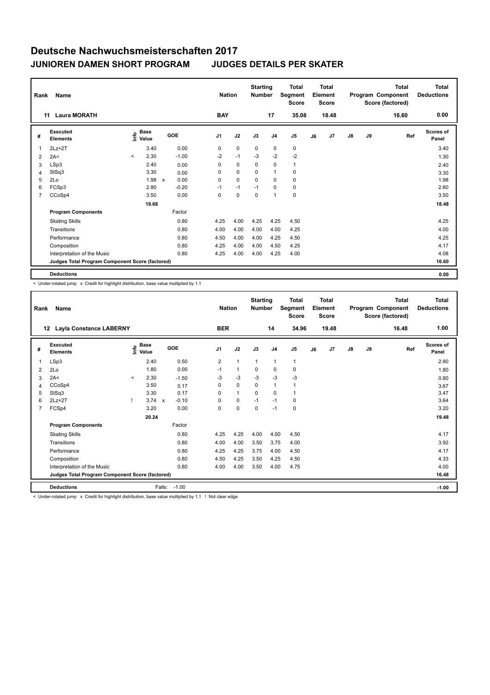| Rank           | <b>Name</b>                                     |                                             | <b>Nation</b>             | <b>Starting</b><br><b>Number</b> |          | <b>Total</b><br>Segment<br><b>Score</b> |             | <b>Total</b><br>Element<br><b>Score</b> |                |    | <b>Total</b><br>Program Component<br>Score (factored) | <b>Total</b><br><b>Deductions</b> |    |       |                           |
|----------------|-------------------------------------------------|---------------------------------------------|---------------------------|----------------------------------|----------|-----------------------------------------|-------------|-----------------------------------------|----------------|----|-------------------------------------------------------|-----------------------------------|----|-------|---------------------------|
|                | <b>Laura MORATH</b><br>11                       |                                             |                           |                                  |          | <b>BAY</b>                              |             | 17                                      | 35.08          |    | 18.48                                                 |                                   |    | 16.60 | 0.00                      |
| #              | <b>Executed</b><br><b>Elements</b>              | <b>Base</b><br>e <sup>Base</sup><br>⊆ Value | GOE                       |                                  | J1       | J2                                      | J3          | J <sub>4</sub>                          | J <sub>5</sub> | J6 | J <sub>7</sub>                                        | $\mathsf{J}8$                     | J9 | Ref   | <b>Scores of</b><br>Panel |
| 1              | $2Lz + 2T$                                      | 3.40                                        |                           | 0.00                             | 0        | $\mathbf 0$                             | $\mathbf 0$ | $\mathbf 0$                             | $\pmb{0}$      |    |                                                       |                                   |    |       | 3.40                      |
| 2              | 2A<                                             | 2.30<br>$\prec$                             |                           | $-1.00$                          | $-2$     | $-1$                                    | $-3$        | $-2$                                    | $-2$           |    |                                                       |                                   |    |       | 1.30                      |
| 3              | LSp3                                            | 2.40                                        |                           | 0.00                             | $\Omega$ | $\mathbf 0$                             | $\Omega$    | 0                                       | $\mathbf{1}$   |    |                                                       |                                   |    |       | 2.40                      |
| 4              | StSq3                                           | 3.30                                        |                           | 0.00                             | 0        | $\mathbf 0$                             | $\Omega$    | 1                                       | 0              |    |                                                       |                                   |    |       | 3.30                      |
| 5              | 2Lo                                             | 1.98                                        | $\boldsymbol{\mathsf{x}}$ | 0.00                             | 0        | $\mathbf 0$                             | 0           | 0                                       | 0              |    |                                                       |                                   |    |       | 1.98                      |
| 6              | FCSp3                                           | 2.80                                        |                           | $-0.20$                          | $-1$     | $-1$                                    | $-1$        | $\Omega$                                | 0              |    |                                                       |                                   |    |       | 2.60                      |
| $\overline{7}$ | CCoSp4                                          | 3.50                                        |                           | 0.00                             | 0        | 0                                       | 0           | 1                                       | $\mathbf 0$    |    |                                                       |                                   |    |       | 3.50                      |
|                |                                                 | 19.68                                       |                           |                                  |          |                                         |             |                                         |                |    |                                                       |                                   |    |       | 18.48                     |
|                | <b>Program Components</b>                       |                                             |                           | Factor                           |          |                                         |             |                                         |                |    |                                                       |                                   |    |       |                           |
|                | <b>Skating Skills</b>                           |                                             |                           | 0.80                             | 4.25     | 4.00                                    | 4.25        | 4.25                                    | 4.50           |    |                                                       |                                   |    |       | 4.25                      |
|                | Transitions                                     |                                             |                           | 0.80                             | 4.00     | 4.00                                    | 4.00        | 4.00                                    | 4.25           |    |                                                       |                                   |    |       | 4.00                      |
|                | Performance                                     |                                             |                           | 0.80                             | 4.50     | 4.00                                    | 4.00        | 4.25                                    | 4.50           |    |                                                       |                                   |    |       | 4.25                      |
|                | Composition                                     |                                             |                           | 0.80                             | 4.25     | 4.00                                    | 4.00        | 4.50                                    | 4.25           |    |                                                       |                                   |    |       | 4.17                      |
|                | Interpretation of the Music                     |                                             |                           | 0.80                             | 4.25     | 4.00                                    | 4.00        | 4.25                                    | 4.00           |    |                                                       |                                   |    |       | 4.08                      |
|                | Judges Total Program Component Score (factored) |                                             |                           |                                  |          |                                         |             |                                         |                |    |                                                       |                                   |    |       | 16.60                     |
|                | <b>Deductions</b>                               |                                             |                           |                                  |          |                                         |             |                                         |                |    |                                                       |                                   |    |       | 0.00                      |

< Under-rotated jump x Credit for highlight distribution, base value multiplied by 1.1

| Rank           | Name<br><b>Layla Constance LABERNY</b><br>12    |         |                      |              |         |                |            | <b>Nation</b> | <b>Starting</b><br><b>Number</b> |                | <b>Total</b><br>Segment<br><b>Score</b> |    | <b>Total</b><br>Element<br><b>Score</b> |               |    | <b>Total</b><br>Program Component<br>Score (factored) | Total<br><b>Deductions</b> |
|----------------|-------------------------------------------------|---------|----------------------|--------------|---------|----------------|------------|---------------|----------------------------------|----------------|-----------------------------------------|----|-----------------------------------------|---------------|----|-------------------------------------------------------|----------------------------|
|                |                                                 |         |                      |              |         |                | <b>BER</b> |               |                                  | 14             | 34.96                                   |    | 19.48                                   |               |    | 16.48                                                 | 1.00                       |
| #              | Executed<br><b>Elements</b>                     | ١m      | <b>Base</b><br>Value |              | GOE     | J <sub>1</sub> |            | J2            | J3                               | J <sub>4</sub> | J <sub>5</sub>                          | J6 | J7                                      | $\mathsf{J}8$ | J9 | Ref                                                   | <b>Scores of</b><br>Panel  |
| $\overline{1}$ | LSp3                                            |         | 2.40                 |              | 0.50    | $\overline{2}$ |            | $\mathbf{1}$  | $\mathbf{1}$                     | $\mathbf{1}$   | $\mathbf{1}$                            |    |                                         |               |    |                                                       | 2.90                       |
| $\overline{2}$ | 2Lo                                             |         | 1.80                 |              | 0.00    | $-1$           |            | $\mathbf{1}$  | 0                                | 0              | 0                                       |    |                                         |               |    |                                                       | 1.80                       |
| 3              | 2A<                                             | $\prec$ | 2.30                 |              | $-1.50$ | $-3$           |            | $-3$          | $-3$                             | $-3$           | $-3$                                    |    |                                         |               |    |                                                       | 0.80                       |
| $\overline{4}$ | CCoSp4                                          |         | 3.50                 |              | 0.17    | 0              |            | $\Omega$      | $\Omega$                         | $\mathbf{1}$   | $\overline{1}$                          |    |                                         |               |    |                                                       | 3.67                       |
| 5              | StSq3                                           |         | 3.30                 |              | 0.17    | 0              |            | $\mathbf{1}$  | $\mathbf 0$                      | 0              | $\overline{1}$                          |    |                                         |               |    |                                                       | 3.47                       |
| 6              | $2Lz+2T$                                        |         | 3.74                 | $\mathbf{x}$ | $-0.10$ | 0              |            | $\mathbf 0$   | $-1$                             | $-1$           | 0                                       |    |                                         |               |    |                                                       | 3.64                       |
| $\overline{7}$ | FCSp4                                           |         | 3.20                 |              | 0.00    | 0              |            | 0             | 0                                | $-1$           | $\mathbf 0$                             |    |                                         |               |    |                                                       | 3.20                       |
|                |                                                 |         | 20.24                |              |         |                |            |               |                                  |                |                                         |    |                                         |               |    |                                                       | 19.48                      |
|                | <b>Program Components</b>                       |         |                      |              | Factor  |                |            |               |                                  |                |                                         |    |                                         |               |    |                                                       |                            |
|                | <b>Skating Skills</b>                           |         |                      |              | 0.80    | 4.25           |            | 4.25          | 4.00                             | 4.00           | 4.50                                    |    |                                         |               |    |                                                       | 4.17                       |
|                | Transitions                                     |         |                      |              | 0.80    | 4.00           |            | 4.00          | 3.50                             | 3.75           | 4.00                                    |    |                                         |               |    |                                                       | 3.92                       |
|                | Performance                                     |         |                      |              | 0.80    | 4.25           |            | 4.25          | 3.75                             | 4.00           | 4.50                                    |    |                                         |               |    |                                                       | 4.17                       |
|                | Composition                                     |         |                      |              | 0.80    | 4.50           |            | 4.25          | 3.50                             | 4.25           | 4.50                                    |    |                                         |               |    |                                                       | 4.33                       |
|                | Interpretation of the Music                     |         |                      |              | 0.80    | 4.00           |            | 4.00          | 3.50                             | 4.00           | 4.75                                    |    |                                         |               |    |                                                       | 4.00                       |
|                | Judges Total Program Component Score (factored) |         |                      |              |         |                |            |               |                                  |                |                                         |    |                                         |               |    |                                                       | 16.48                      |
|                | <b>Deductions</b>                               |         |                      | Falls:       | $-1.00$ |                |            |               |                                  |                |                                         |    |                                         |               |    |                                                       | $-1.00$                    |

< Under-rotated jump x Credit for highlight distribution, base value multiplied by 1.1 ! Not clear edge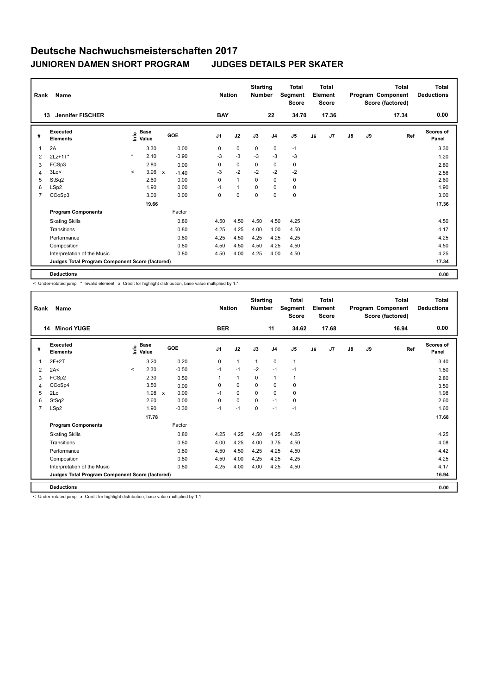| Rank           | Name                                            |              |                                             |                         | <b>Nation</b> |              | <b>Starting</b><br><b>Number</b> |                | <b>Total</b><br>Segment<br><b>Score</b> |    | <b>Total</b><br>Element<br><b>Score</b> |    |    | <b>Total</b><br>Program Component<br>Score (factored) | Total<br><b>Deductions</b> |
|----------------|-------------------------------------------------|--------------|---------------------------------------------|-------------------------|---------------|--------------|----------------------------------|----------------|-----------------------------------------|----|-----------------------------------------|----|----|-------------------------------------------------------|----------------------------|
|                | <b>Jennifer FISCHER</b><br>13                   |              |                                             |                         | <b>BAY</b>    |              |                                  | 22             | 34.70                                   |    | 17.36                                   |    |    | 17.34                                                 | 0.00                       |
| #              | Executed<br><b>Elements</b>                     |              | <b>Base</b><br>e <sup>Base</sup><br>⊆ Value | GOE                     | J1            | J2           | J3                               | J <sub>4</sub> | J <sub>5</sub>                          | J6 | J7                                      | J8 | J9 | Ref                                                   | Scores of<br>Panel         |
| 1              | 2A                                              |              | 3.30                                        | 0.00                    | 0             | $\mathbf 0$  | $\mathbf 0$                      | $\mathbf 0$    | $-1$                                    |    |                                         |    |    |                                                       | 3.30                       |
| 2              | $2Lz+1T*$                                       | $\star$      | 2.10                                        | $-0.90$                 | $-3$          | $-3$         | $-3$                             | $-3$           | $-3$                                    |    |                                         |    |    |                                                       | 1.20                       |
| 3              | FCSp3                                           |              | 2.80                                        | 0.00                    | 0             | $\mathbf 0$  | 0                                | 0              | 0                                       |    |                                         |    |    |                                                       | 2.80                       |
| 4              | 3Lo<                                            | $\checkmark$ | 3.96                                        | $\mathsf{x}$<br>$-1.40$ | $-3$          | $-2$         | $-2$                             | $-2$           | $-2$                                    |    |                                         |    |    |                                                       | 2.56                       |
| 5              | StSq2                                           |              | 2.60                                        | 0.00                    | 0             | $\mathbf{1}$ | 0                                | 0              | 0                                       |    |                                         |    |    |                                                       | 2.60                       |
| 6              | LSp2                                            |              | 1.90                                        | 0.00                    | $-1$          | $\mathbf{1}$ | $\Omega$                         | $\Omega$       | 0                                       |    |                                         |    |    |                                                       | 1.90                       |
| $\overline{7}$ | CCoSp3                                          |              | 3.00                                        | 0.00                    | 0             | 0            | $\mathbf 0$                      | $\mathbf 0$    | $\pmb{0}$                               |    |                                         |    |    |                                                       | 3.00                       |
|                |                                                 |              | 19.66                                       |                         |               |              |                                  |                |                                         |    |                                         |    |    |                                                       | 17.36                      |
|                | <b>Program Components</b>                       |              |                                             | Factor                  |               |              |                                  |                |                                         |    |                                         |    |    |                                                       |                            |
|                | <b>Skating Skills</b>                           |              |                                             | 0.80                    | 4.50          | 4.50         | 4.50                             | 4.50           | 4.25                                    |    |                                         |    |    |                                                       | 4.50                       |
|                | Transitions                                     |              |                                             | 0.80                    | 4.25          | 4.25         | 4.00                             | 4.00           | 4.50                                    |    |                                         |    |    |                                                       | 4.17                       |
|                | Performance                                     |              |                                             | 0.80                    | 4.25          | 4.50         | 4.25                             | 4.25           | 4.25                                    |    |                                         |    |    |                                                       | 4.25                       |
|                | Composition                                     |              |                                             | 0.80                    | 4.50          | 4.50         | 4.50                             | 4.25           | 4.50                                    |    |                                         |    |    |                                                       | 4.50                       |
|                | Interpretation of the Music                     |              |                                             | 0.80                    | 4.50          | 4.00         | 4.25                             | 4.00           | 4.50                                    |    |                                         |    |    |                                                       | 4.25                       |
|                | Judges Total Program Component Score (factored) |              |                                             |                         |               |              |                                  |                |                                         |    |                                         |    |    |                                                       | 17.34                      |
|                | <b>Deductions</b>                               |              |                                             |                         |               |              |                                  |                |                                         |    |                                         |    |    |                                                       | 0.00                       |

< Under-rotated jump \* Invalid element x Credit for highlight distribution, base value multiplied by 1.1

| Rank           | <b>Name</b><br><b>Minori YUGE</b><br>14         |         |                                  |                           |         | <b>Nation</b><br><b>BER</b> |              | <b>Starting</b><br><b>Number</b> | 11             | <b>Total</b><br>Segment<br><b>Score</b><br>34.62 |    | <b>Total</b><br>Element<br><b>Score</b><br>17.68 |               |    | <b>Total</b><br>Program Component<br>Score (factored)<br>16.94 | <b>Total</b><br><b>Deductions</b><br>0.00 |
|----------------|-------------------------------------------------|---------|----------------------------------|---------------------------|---------|-----------------------------|--------------|----------------------------------|----------------|--------------------------------------------------|----|--------------------------------------------------|---------------|----|----------------------------------------------------------------|-------------------------------------------|
|                |                                                 |         |                                  |                           |         |                             |              |                                  |                |                                                  |    |                                                  |               |    |                                                                |                                           |
| #              | Executed<br><b>Elements</b>                     |         | <b>Base</b><br>e Base<br>E Value | <b>GOE</b>                |         | J <sub>1</sub>              | J2           | J3                               | J <sub>4</sub> | J <sub>5</sub>                                   | J6 | J7                                               | $\mathsf{J}8$ | J9 | Ref                                                            | Scores of<br>Panel                        |
| 1              | $2F+2T$                                         |         | 3.20                             |                           | 0.20    | 0                           | $\mathbf{1}$ | $\mathbf{1}$                     | $\mathbf 0$    | $\mathbf{1}$                                     |    |                                                  |               |    |                                                                | 3.40                                      |
| 2              | 2A<                                             | $\prec$ | 2.30                             |                           | $-0.50$ | $-1$                        | $-1$         | $-2$                             | $-1$           | $-1$                                             |    |                                                  |               |    |                                                                | 1.80                                      |
| 3              | FCSp2                                           |         | 2.30                             |                           | 0.50    | 1                           | $\mathbf{1}$ | 0                                | $\overline{1}$ | $\mathbf{1}$                                     |    |                                                  |               |    |                                                                | 2.80                                      |
| 4              | CCoSp4                                          |         | 3.50                             |                           | 0.00    | 0                           | $\mathbf 0$  | $\mathbf 0$                      | $\mathbf 0$    | 0                                                |    |                                                  |               |    |                                                                | 3.50                                      |
| 5              | 2Lo                                             |         | 1.98                             | $\boldsymbol{\mathsf{x}}$ | 0.00    | $-1$                        | 0            | 0                                | 0              | 0                                                |    |                                                  |               |    |                                                                | 1.98                                      |
| 6              | StSq2                                           |         | 2.60                             |                           | 0.00    | $\Omega$                    | $\Omega$     | $\Omega$                         | $-1$           | 0                                                |    |                                                  |               |    |                                                                | 2.60                                      |
| $\overline{7}$ | LSp2                                            |         | 1.90                             |                           | $-0.30$ | $-1$                        | $-1$         | $\mathbf 0$                      | $-1$           | $-1$                                             |    |                                                  |               |    |                                                                | 1.60                                      |
|                |                                                 |         | 17.78                            |                           |         |                             |              |                                  |                |                                                  |    |                                                  |               |    |                                                                | 17.68                                     |
|                | <b>Program Components</b>                       |         |                                  |                           | Factor  |                             |              |                                  |                |                                                  |    |                                                  |               |    |                                                                |                                           |
|                | <b>Skating Skills</b>                           |         |                                  |                           | 0.80    | 4.25                        | 4.25         | 4.50                             | 4.25           | 4.25                                             |    |                                                  |               |    |                                                                | 4.25                                      |
|                | Transitions                                     |         |                                  |                           | 0.80    | 4.00                        | 4.25         | 4.00                             | 3.75           | 4.50                                             |    |                                                  |               |    |                                                                | 4.08                                      |
|                | Performance                                     |         |                                  |                           | 0.80    | 4.50                        | 4.50         | 4.25                             | 4.25           | 4.50                                             |    |                                                  |               |    |                                                                | 4.42                                      |
|                | Composition                                     |         |                                  |                           | 0.80    | 4.50                        | 4.00         | 4.25                             | 4.25           | 4.25                                             |    |                                                  |               |    |                                                                | 4.25                                      |
|                | Interpretation of the Music                     |         |                                  |                           | 0.80    | 4.25                        | 4.00         | 4.00                             | 4.25           | 4.50                                             |    |                                                  |               |    |                                                                | 4.17                                      |
|                | Judges Total Program Component Score (factored) |         |                                  |                           |         |                             |              |                                  |                |                                                  |    |                                                  |               |    |                                                                | 16.94                                     |
|                | <b>Deductions</b>                               |         |                                  |                           |         |                             |              |                                  |                |                                                  |    |                                                  |               |    |                                                                | 0.00                                      |

< Under-rotated jump x Credit for highlight distribution, base value multiplied by 1.1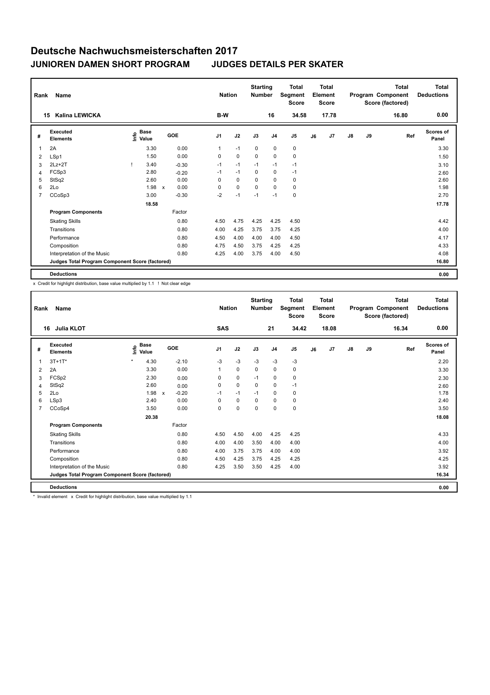| Rank           | Name                                            |                                             |       |              |         |                | <b>Nation</b> | <b>Starting</b><br><b>Number</b> |                | <b>Total</b><br>Segment<br><b>Score</b> |    | <b>Total</b><br>Element<br><b>Score</b> |    |    | <b>Total</b><br>Program Component<br>Score (factored) | Total<br><b>Deductions</b> |
|----------------|-------------------------------------------------|---------------------------------------------|-------|--------------|---------|----------------|---------------|----------------------------------|----------------|-----------------------------------------|----|-----------------------------------------|----|----|-------------------------------------------------------|----------------------------|
|                | Kalina LEWICKA<br>15                            |                                             |       |              |         | B-W            |               |                                  | 16             | 34.58                                   |    | 17.78                                   |    |    | 16.80                                                 | 0.00                       |
| #              | Executed<br><b>Elements</b>                     | <b>Base</b><br>e <sup>Base</sup><br>⊆ Value |       | GOE          |         | J <sub>1</sub> | J2            | J3                               | J <sub>4</sub> | J <sub>5</sub>                          | J6 | J7                                      | J8 | J9 | Ref                                                   | Scores of<br>Panel         |
| 1              | 2A                                              |                                             | 3.30  |              | 0.00    | $\mathbf{1}$   | $-1$          | $\mathbf 0$                      | $\mathbf 0$    | $\pmb{0}$                               |    |                                         |    |    |                                                       | 3.30                       |
| 2              | LSp1                                            |                                             | 1.50  |              | 0.00    | 0              | $\pmb{0}$     | 0                                | 0              | $\pmb{0}$                               |    |                                         |    |    |                                                       | 1.50                       |
| 3              | $2Lz+2T$                                        |                                             | 3.40  |              | $-0.30$ | $-1$           | $-1$          | $-1$                             | $-1$           | $-1$                                    |    |                                         |    |    |                                                       | 3.10                       |
| 4              | FCSp3                                           |                                             | 2.80  |              | $-0.20$ | $-1$           | $-1$          | $\Omega$                         | 0              | $-1$                                    |    |                                         |    |    |                                                       | 2.60                       |
| 5              | StSq2                                           |                                             | 2.60  |              | 0.00    | 0              | $\mathbf 0$   | 0                                | 0              | 0                                       |    |                                         |    |    |                                                       | 2.60                       |
| 6              | 2Lo                                             |                                             | 1.98  | $\mathsf{x}$ | 0.00    | 0              | $\mathbf 0$   | $\Omega$                         | $\Omega$       | 0                                       |    |                                         |    |    |                                                       | 1.98                       |
| $\overline{7}$ | CCoSp3                                          |                                             | 3.00  |              | $-0.30$ | $-2$           | $-1$          | $-1$                             | $-1$           | $\pmb{0}$                               |    |                                         |    |    |                                                       | 2.70                       |
|                |                                                 |                                             | 18.58 |              |         |                |               |                                  |                |                                         |    |                                         |    |    |                                                       | 17.78                      |
|                | <b>Program Components</b>                       |                                             |       |              | Factor  |                |               |                                  |                |                                         |    |                                         |    |    |                                                       |                            |
|                | <b>Skating Skills</b>                           |                                             |       |              | 0.80    | 4.50           | 4.75          | 4.25                             | 4.25           | 4.50                                    |    |                                         |    |    |                                                       | 4.42                       |
|                | Transitions                                     |                                             |       |              | 0.80    | 4.00           | 4.25          | 3.75                             | 3.75           | 4.25                                    |    |                                         |    |    |                                                       | 4.00                       |
|                | Performance                                     |                                             |       |              | 0.80    | 4.50           | 4.00          | 4.00                             | 4.00           | 4.50                                    |    |                                         |    |    |                                                       | 4.17                       |
|                | Composition                                     |                                             |       |              | 0.80    | 4.75           | 4.50          | 3.75                             | 4.25           | 4.25                                    |    |                                         |    |    |                                                       | 4.33                       |
|                | Interpretation of the Music                     |                                             |       |              | 0.80    | 4.25           | 4.00          | 3.75                             | 4.00           | 4.50                                    |    |                                         |    |    |                                                       | 4.08                       |
|                | Judges Total Program Component Score (factored) |                                             |       |              |         |                |               |                                  |                |                                         |    |                                         |    |    |                                                       | 16.80                      |
|                | <b>Deductions</b>                               |                                             |       |              |         |                |               |                                  |                |                                         |    |                                         |    |    |                                                       | 0.00                       |

x Credit for highlight distribution, base value multiplied by 1.1 ! Not clear edge

| Rank | Name                                            |                            |                                      | <b>Nation</b> |             | <b>Starting</b><br><b>Number</b> |                | Total<br>Segment<br><b>Score</b> |    | <b>Total</b><br>Element<br><b>Score</b> |    |    | <b>Total</b><br>Program Component<br>Score (factored) | Total<br><b>Deductions</b> |
|------|-------------------------------------------------|----------------------------|--------------------------------------|---------------|-------------|----------------------------------|----------------|----------------------------------|----|-----------------------------------------|----|----|-------------------------------------------------------|----------------------------|
|      | Julia KLOT<br>16                                |                            |                                      | SAS           |             |                                  | 21             | 34.42                            |    | 18.08                                   |    |    | 16.34                                                 | 0.00                       |
| #    | <b>Executed</b><br><b>Elements</b>              | <b>Base</b><br>١π<br>Value | GOE                                  | J1            | J2          | J3                               | J <sub>4</sub> | J <sub>5</sub>                   | J6 | J7                                      | J8 | J9 | Ref                                                   | <b>Scores of</b><br>Panel  |
| 1    | $3T + 1T^*$                                     | $\star$<br>4.30            | $-2.10$                              | $-3$          | $-3$        | $-3$                             | $-3$           | $-3$                             |    |                                         |    |    |                                                       | 2.20                       |
| 2    | 2A                                              | 3.30                       | 0.00                                 | 1             | $\mathbf 0$ | $\mathbf 0$                      | $\mathbf 0$    | $\mathbf 0$                      |    |                                         |    |    |                                                       | 3.30                       |
| 3    | FCSp2                                           | 2.30                       | 0.00                                 | 0             | $\mathbf 0$ | $-1$                             | $\mathbf 0$    | 0                                |    |                                         |    |    |                                                       | 2.30                       |
| 4    | StSq2                                           | 2.60                       | 0.00                                 | 0             | $\mathbf 0$ | $\mathbf 0$                      | $\mathbf 0$    | $-1$                             |    |                                         |    |    |                                                       | 2.60                       |
| 5    | 2Lo                                             | 1.98                       | $-0.20$<br>$\boldsymbol{\mathsf{x}}$ | $-1$          | $-1$        | $-1$                             | $\mathbf 0$    | 0                                |    |                                         |    |    |                                                       | 1.78                       |
| 6    | LSp3                                            | 2.40                       | 0.00                                 | $\Omega$      | $\mathbf 0$ | $\Omega$                         | $\mathbf 0$    | 0                                |    |                                         |    |    |                                                       | 2.40                       |
| 7    | CCoSp4                                          | 3.50                       | 0.00                                 | 0             | $\mathbf 0$ | $\mathbf 0$                      | $\mathbf 0$    | 0                                |    |                                         |    |    |                                                       | 3.50                       |
|      |                                                 | 20.38                      |                                      |               |             |                                  |                |                                  |    |                                         |    |    |                                                       | 18.08                      |
|      | <b>Program Components</b>                       |                            | Factor                               |               |             |                                  |                |                                  |    |                                         |    |    |                                                       |                            |
|      | <b>Skating Skills</b>                           |                            | 0.80                                 | 4.50          | 4.50        | 4.00                             | 4.25           | 4.25                             |    |                                         |    |    |                                                       | 4.33                       |
|      | Transitions                                     |                            | 0.80                                 | 4.00          | 4.00        | 3.50                             | 4.00           | 4.00                             |    |                                         |    |    |                                                       | 4.00                       |
|      | Performance                                     |                            | 0.80                                 | 4.00          | 3.75        | 3.75                             | 4.00           | 4.00                             |    |                                         |    |    |                                                       | 3.92                       |
|      | Composition                                     |                            | 0.80                                 | 4.50          | 4.25        | 3.75                             | 4.25           | 4.25                             |    |                                         |    |    |                                                       | 4.25                       |
|      | Interpretation of the Music                     |                            | 0.80                                 | 4.25          | 3.50        | 3.50                             | 4.25           | 4.00                             |    |                                         |    |    |                                                       | 3.92                       |
|      | Judges Total Program Component Score (factored) |                            |                                      |               |             |                                  |                |                                  |    |                                         |    |    |                                                       | 16.34                      |
|      | <b>Deductions</b>                               |                            |                                      |               |             |                                  |                |                                  |    |                                         |    |    |                                                       | 0.00                       |

\* Invalid element x Credit for highlight distribution, base value multiplied by 1.1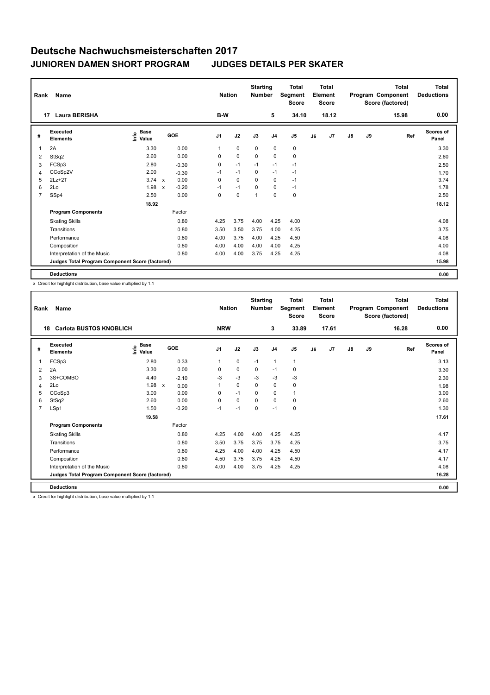| Rank           | Name                                            |                                             |              |         | <b>Nation</b> |             | <b>Starting</b><br><b>Number</b> |                | <b>Total</b><br>Segment<br><b>Score</b> |    | <b>Total</b><br>Element<br><b>Score</b> |               |    | <b>Total</b><br>Program Component<br>Score (factored) | Total<br><b>Deductions</b> |
|----------------|-------------------------------------------------|---------------------------------------------|--------------|---------|---------------|-------------|----------------------------------|----------------|-----------------------------------------|----|-----------------------------------------|---------------|----|-------------------------------------------------------|----------------------------|
|                | <b>Laura BERISHA</b><br>17                      |                                             |              |         | B-W           |             |                                  | 5              | 34.10                                   |    | 18.12                                   |               |    | 15.98                                                 | 0.00                       |
| #              | Executed<br><b>Elements</b>                     | <b>Base</b><br>e <sup>Base</sup><br>⊆ Value | GOE          |         | J1            | J2          | J3                               | J <sub>4</sub> | J <sub>5</sub>                          | J6 | J7                                      | $\mathsf{J}8$ | J9 | Ref                                                   | Scores of<br>Panel         |
| 1              | 2A                                              | 3.30                                        |              | 0.00    | $\mathbf{1}$  | $\mathbf 0$ | $\mathbf 0$                      | 0              | 0                                       |    |                                         |               |    |                                                       | 3.30                       |
| 2              | StSq2                                           | 2.60                                        |              | 0.00    | 0             | $\pmb{0}$   | 0                                | 0              | $\pmb{0}$                               |    |                                         |               |    |                                                       | 2.60                       |
| 3              | FCSp3                                           | 2.80                                        |              | $-0.30$ | 0             | $-1$        | $-1$                             | $-1$           | $-1$                                    |    |                                         |               |    |                                                       | 2.50                       |
| 4              | CCoSp2V                                         | 2.00                                        |              | $-0.30$ | $-1$          | $-1$        | 0                                | $-1$           | $-1$                                    |    |                                         |               |    |                                                       | 1.70                       |
| 5              | $2Lz+2T$                                        | 3.74                                        | $\mathsf{x}$ | 0.00    | 0             | $\mathbf 0$ | $\Omega$                         | 0              | $-1$                                    |    |                                         |               |    |                                                       | 3.74                       |
| 6              | 2Lo                                             | 1.98                                        | $\mathsf{x}$ | $-0.20$ | $-1$          | $-1$        | $\Omega$                         | $\Omega$       | $-1$                                    |    |                                         |               |    |                                                       | 1.78                       |
| $\overline{7}$ | SSp4                                            | 2.50                                        |              | 0.00    | 0             | $\mathbf 0$ | 1                                | 0              | $\pmb{0}$                               |    |                                         |               |    |                                                       | 2.50                       |
|                |                                                 | 18.92                                       |              |         |               |             |                                  |                |                                         |    |                                         |               |    |                                                       | 18.12                      |
|                | <b>Program Components</b>                       |                                             |              | Factor  |               |             |                                  |                |                                         |    |                                         |               |    |                                                       |                            |
|                | <b>Skating Skills</b>                           |                                             |              | 0.80    | 4.25          | 3.75        | 4.00                             | 4.25           | 4.00                                    |    |                                         |               |    |                                                       | 4.08                       |
|                | Transitions                                     |                                             |              | 0.80    | 3.50          | 3.50        | 3.75                             | 4.00           | 4.25                                    |    |                                         |               |    |                                                       | 3.75                       |
|                | Performance                                     |                                             |              | 0.80    | 4.00          | 3.75        | 4.00                             | 4.25           | 4.50                                    |    |                                         |               |    |                                                       | 4.08                       |
|                | Composition                                     |                                             |              | 0.80    | 4.00          | 4.00        | 4.00                             | 4.00           | 4.25                                    |    |                                         |               |    |                                                       | 4.00                       |
|                | Interpretation of the Music                     |                                             |              | 0.80    | 4.00          | 4.00        | 3.75                             | 4.25           | 4.25                                    |    |                                         |               |    |                                                       | 4.08                       |
|                | Judges Total Program Component Score (factored) |                                             |              |         |               |             |                                  |                |                                         |    |                                         |               |    |                                                       | 15.98                      |
|                | <b>Deductions</b>                               |                                             |              |         |               |             |                                  |                |                                         |    |                                         |               |    |                                                       | 0.00                       |

x Credit for highlight distribution, base value multiplied by 1.1

| Rank           | Name                                            |                              |                           |         | <b>Nation</b>  |             | <b>Starting</b><br><b>Number</b> |                | <b>Total</b><br>Segment<br><b>Score</b> |    | Total<br>Element<br><b>Score</b> |               |    | Total<br>Program Component<br>Score (factored) | <b>Total</b><br><b>Deductions</b> |
|----------------|-------------------------------------------------|------------------------------|---------------------------|---------|----------------|-------------|----------------------------------|----------------|-----------------------------------------|----|----------------------------------|---------------|----|------------------------------------------------|-----------------------------------|
|                | <b>Carlota BUSTOS KNOBLICH</b><br>18            |                              |                           |         | <b>NRW</b>     |             |                                  | 3              | 33.89                                   |    | 17.61                            |               |    | 16.28                                          | 0.00                              |
| #              | Executed<br><b>Elements</b>                     | <b>Base</b><br>١mfo<br>Value | GOE                       |         | J <sub>1</sub> | J2          | J3                               | J <sub>4</sub> | J <sub>5</sub>                          | J6 | J <sub>7</sub>                   | $\mathsf{J}8$ | J9 | Ref                                            | <b>Scores of</b><br>Panel         |
| 1              | FCSp3                                           | 2.80                         |                           | 0.33    | $\mathbf{1}$   | $\mathbf 0$ | $-1$                             | $\mathbf{1}$   | $\mathbf{1}$                            |    |                                  |               |    |                                                | 3.13                              |
| 2              | 2A                                              | 3.30                         |                           | 0.00    | 0              | $\mathbf 0$ | $\mathbf 0$                      | $-1$           | 0                                       |    |                                  |               |    |                                                | 3.30                              |
| 3              | 3S+COMBO                                        | 4.40                         |                           | $-2.10$ | -3             | $-3$        | -3                               | -3             | -3                                      |    |                                  |               |    |                                                | 2.30                              |
| 4              | 2Lo                                             | 1.98                         | $\boldsymbol{\mathsf{x}}$ | 0.00    | $\mathbf{1}$   | $\Omega$    | $\Omega$                         | 0              | 0                                       |    |                                  |               |    |                                                | 1.98                              |
| 5              | CCoSp3                                          | 3.00                         |                           | 0.00    | 0              | $-1$        | 0                                | $\mathbf 0$    | $\mathbf{1}$                            |    |                                  |               |    |                                                | 3.00                              |
| 6              | StSq2                                           | 2.60                         |                           | 0.00    | $\Omega$       | 0           | $\Omega$                         | 0              | 0                                       |    |                                  |               |    |                                                | 2.60                              |
| $\overline{7}$ | LSp1                                            | 1.50                         |                           | $-0.20$ | $-1$           | $-1$        | 0                                | $-1$           | $\mathbf 0$                             |    |                                  |               |    |                                                | 1.30                              |
|                |                                                 | 19.58                        |                           |         |                |             |                                  |                |                                         |    |                                  |               |    |                                                | 17.61                             |
|                | <b>Program Components</b>                       |                              | Factor                    |         |                |             |                                  |                |                                         |    |                                  |               |    |                                                |                                   |
|                | <b>Skating Skills</b>                           |                              |                           | 0.80    | 4.25           | 4.00        | 4.00                             | 4.25           | 4.25                                    |    |                                  |               |    |                                                | 4.17                              |
|                | Transitions                                     |                              |                           | 0.80    | 3.50           | 3.75        | 3.75                             | 3.75           | 4.25                                    |    |                                  |               |    |                                                | 3.75                              |
|                | Performance                                     |                              |                           | 0.80    | 4.25           | 4.00        | 4.00                             | 4.25           | 4.50                                    |    |                                  |               |    |                                                | 4.17                              |
|                | Composition                                     |                              |                           | 0.80    | 4.50           | 3.75        | 3.75                             | 4.25           | 4.50                                    |    |                                  |               |    |                                                | 4.17                              |
|                | Interpretation of the Music                     |                              |                           | 0.80    | 4.00           | 4.00        | 3.75                             | 4.25           | 4.25                                    |    |                                  |               |    |                                                | 4.08                              |
|                | Judges Total Program Component Score (factored) |                              |                           |         |                |             |                                  |                |                                         |    |                                  |               |    |                                                | 16.28                             |
|                | <b>Deductions</b>                               |                              |                           |         |                |             |                                  |                |                                         |    |                                  |               |    |                                                | 0.00                              |

x Credit for highlight distribution, base value multiplied by 1.1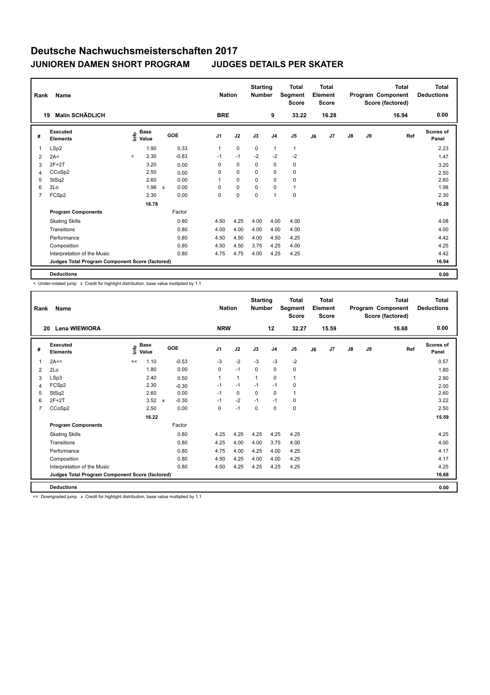| Rank           | Name                                            |                                             |                      | <b>Nation</b>  |             | <b>Starting</b><br><b>Number</b> |                | <b>Total</b><br>Segment<br><b>Score</b> |    | <b>Total</b><br>Element<br><b>Score</b> |    |    | <b>Total</b><br>Program Component<br>Score (factored) | Total<br><b>Deductions</b> |
|----------------|-------------------------------------------------|---------------------------------------------|----------------------|----------------|-------------|----------------------------------|----------------|-----------------------------------------|----|-----------------------------------------|----|----|-------------------------------------------------------|----------------------------|
|                | <b>Malin SCHÄDLICH</b><br>19                    |                                             |                      | <b>BRE</b>     |             |                                  | 9              | 33.22                                   |    | 16.28                                   |    |    | 16.94                                                 | 0.00                       |
| #              | Executed<br><b>Elements</b>                     | <b>Base</b><br>e <sup>Base</sup><br>⊆ Value | GOE                  | J <sub>1</sub> | J2          | J3                               | J <sub>4</sub> | J <sub>5</sub>                          | J6 | J7                                      | J8 | J9 | Ref                                                   | Scores of<br>Panel         |
| 1              | LSp2                                            | 1.90                                        | 0.33                 | $\mathbf{1}$   | $\mathbf 0$ | $\mathbf 0$                      | $\mathbf{1}$   | $\mathbf{1}$                            |    |                                         |    |    |                                                       | 2.23                       |
| 2              | 2A<                                             | 2.30<br>$\prec$                             | $-0.83$              | $-1$           | $-1$        | $-2$                             | $-2$           | $-2$                                    |    |                                         |    |    |                                                       | 1.47                       |
| 3              | $2F+2T$                                         | 3.20                                        | 0.00                 | 0              | $\mathbf 0$ | 0                                | 0              | 0                                       |    |                                         |    |    |                                                       | 3.20                       |
| 4              | CCoSp2                                          | 2.50                                        | 0.00                 | 0              | $\mathbf 0$ | $\Omega$                         | 0              | $\mathbf 0$                             |    |                                         |    |    |                                                       | 2.50                       |
| 5              | StSq2                                           | 2.60                                        | 0.00                 | 1              | $\mathbf 0$ | 0                                | 0              | 0                                       |    |                                         |    |    |                                                       | 2.60                       |
| 6              | 2Lo                                             | 1.98                                        | 0.00<br>$\mathsf{x}$ | 0              | $\mathbf 0$ | $\Omega$                         | $\Omega$       | $\mathbf{1}$                            |    |                                         |    |    |                                                       | 1.98                       |
| $\overline{7}$ | FCS <sub>p2</sub>                               | 2.30                                        | 0.00                 | 0              | 0           | $\mathbf 0$                      | $\overline{1}$ | $\mathbf 0$                             |    |                                         |    |    |                                                       | 2.30                       |
|                |                                                 | 16.78                                       |                      |                |             |                                  |                |                                         |    |                                         |    |    |                                                       | 16.28                      |
|                | <b>Program Components</b>                       |                                             | Factor               |                |             |                                  |                |                                         |    |                                         |    |    |                                                       |                            |
|                | <b>Skating Skills</b>                           |                                             | 0.80                 | 4.50           | 4.25        | 4.00                             | 4.00           | 4.00                                    |    |                                         |    |    |                                                       | 4.08                       |
|                | Transitions                                     |                                             | 0.80                 | 4.00           | 4.00        | 4.00                             | 4.00           | 4.00                                    |    |                                         |    |    |                                                       | 4.00                       |
|                | Performance                                     |                                             | 0.80                 | 4.50           | 4.50        | 4.00                             | 4.50           | 4.25                                    |    |                                         |    |    |                                                       | 4.42                       |
|                | Composition                                     |                                             | 0.80                 | 4.50           | 4.50        | 3.75                             | 4.25           | 4.00                                    |    |                                         |    |    |                                                       | 4.25                       |
|                | Interpretation of the Music                     |                                             | 0.80                 | 4.75           | 4.75        | 4.00                             | 4.25           | 4.25                                    |    |                                         |    |    |                                                       | 4.42                       |
|                | Judges Total Program Component Score (factored) |                                             |                      |                |             |                                  |                |                                         |    |                                         |    |    |                                                       | 16.94                      |
|                | <b>Deductions</b>                               |                                             |                      |                |             |                                  |                |                                         |    |                                         |    |    |                                                       | 0.00                       |

< Under-rotated jump x Credit for highlight distribution, base value multiplied by 1.1

| Rank           | <b>Name</b>                                     |      |               |                           |         |                | <b>Nation</b>  | <b>Starting</b><br><b>Number</b> |                | <b>Total</b><br>Segment<br><b>Score</b> |    | <b>Total</b><br>Element<br><b>Score</b> |               |    | <b>Total</b><br>Program Component<br>Score (factored) | <b>Total</b><br><b>Deductions</b> |
|----------------|-------------------------------------------------|------|---------------|---------------------------|---------|----------------|----------------|----------------------------------|----------------|-----------------------------------------|----|-----------------------------------------|---------------|----|-------------------------------------------------------|-----------------------------------|
| 20             | Lena WIEWIORA                                   |      |               |                           |         | <b>NRW</b>     |                |                                  | 12             | 32.27                                   |    | 15.59                                   |               |    | 16.68                                                 | 0.00                              |
| #              | Executed<br><b>Elements</b>                     | ١mfo | Base<br>Value |                           | GOE     | J <sub>1</sub> | J2             | J3                               | J <sub>4</sub> | J <sub>5</sub>                          | J6 | J7                                      | $\mathsf{J}8$ | J9 | Ref                                                   | <b>Scores of</b><br>Panel         |
| 1              | 2A<<                                            | <<   | 1.10          |                           | $-0.53$ | $-3$           | $-2$           | $-3$                             | $-3$           | $-2$                                    |    |                                         |               |    |                                                       | 0.57                              |
| 2              | 2Lo                                             |      | 1.80          |                           | 0.00    | 0              | $-1$           | 0                                | $\mathbf 0$    | 0                                       |    |                                         |               |    |                                                       | 1.80                              |
| 3              | LSp3                                            |      | 2.40          |                           | 0.50    | $\mathbf{1}$   | $\overline{1}$ | $\overline{1}$                   | $\mathbf 0$    | $\mathbf{1}$                            |    |                                         |               |    |                                                       | 2.90                              |
| 4              | FCSp2                                           |      | 2.30          |                           | $-0.30$ | $-1$           | $-1$           | $-1$                             | $-1$           | 0                                       |    |                                         |               |    |                                                       | 2.00                              |
| 5              | StSq2                                           |      | 2.60          |                           | 0.00    | $-1$           | $\mathbf 0$    | 0                                | 0              | $\mathbf{1}$                            |    |                                         |               |    |                                                       | 2.60                              |
| 6              | $2F+2T$                                         |      | 3.52          | $\boldsymbol{\mathsf{x}}$ | $-0.30$ | $-1$           | $-2$           | $-1$                             | $-1$           | 0                                       |    |                                         |               |    |                                                       | 3.22                              |
| $\overline{7}$ | CCoSp2                                          |      | 2.50          |                           | 0.00    | $\Omega$       | $-1$           | $\Omega$                         | $\Omega$       | 0                                       |    |                                         |               |    |                                                       | 2.50                              |
|                |                                                 |      | 16.22         |                           |         |                |                |                                  |                |                                         |    |                                         |               |    |                                                       | 15.59                             |
|                | <b>Program Components</b>                       |      |               |                           | Factor  |                |                |                                  |                |                                         |    |                                         |               |    |                                                       |                                   |
|                | <b>Skating Skills</b>                           |      |               |                           | 0.80    | 4.25           | 4.25           | 4.25                             | 4.25           | 4.25                                    |    |                                         |               |    |                                                       | 4.25                              |
|                | Transitions                                     |      |               |                           | 0.80    | 4.25           | 4.00           | 4.00                             | 3.75           | 4.00                                    |    |                                         |               |    |                                                       | 4.00                              |
|                | Performance                                     |      |               |                           | 0.80    | 4.75           | 4.00           | 4.25                             | 4.00           | 4.25                                    |    |                                         |               |    |                                                       | 4.17                              |
|                | Composition                                     |      |               |                           | 0.80    | 4.50           | 4.25           | 4.00                             | 4.00           | 4.25                                    |    |                                         |               |    |                                                       | 4.17                              |
|                | Interpretation of the Music                     |      |               |                           | 0.80    | 4.50           | 4.25           | 4.25                             | 4.25           | 4.25                                    |    |                                         |               |    |                                                       | 4.25                              |
|                | Judges Total Program Component Score (factored) |      |               |                           |         |                |                |                                  |                |                                         |    |                                         |               |    |                                                       | 16.68                             |
|                | <b>Deductions</b>                               |      |               |                           |         |                |                |                                  |                |                                         |    |                                         |               |    |                                                       | 0.00                              |

<< Downgraded jump x Credit for highlight distribution, base value multiplied by 1.1